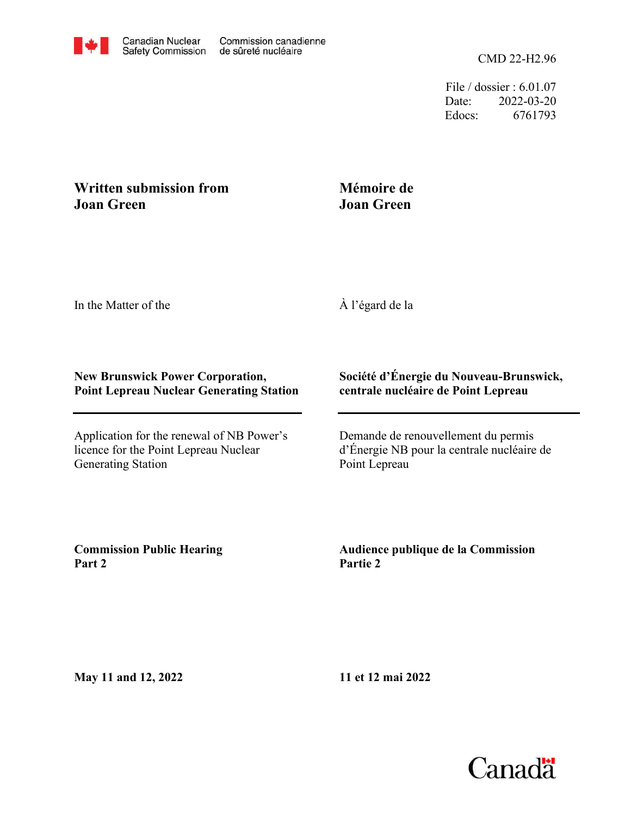File / dossier : 6.01.07 Date: 2022-03-20 Edocs: 6761793

## **Written submission from Joan Green**

# **Mémoire de Joan Green**

In the Matter of the

À l'égard de la

### **New Brunswick Power Corporation, Point Lepreau Nuclear Generating Station**

Application for the renewal of NB Power's licence for the Point Lepreau Nuclear Generating Station

## **Société d'Énergie du Nouveau-Brunswick, centrale nucléaire de Point Lepreau**

Demande de renouvellement du permis d'Énergie NB pour la centrale nucléaire de Point Lepreau

**Commission Public Hearing Part 2**

**Audience publique de la Commission Partie 2**

**May 11 and 12, 2022**

**11 et 12 mai 2022**